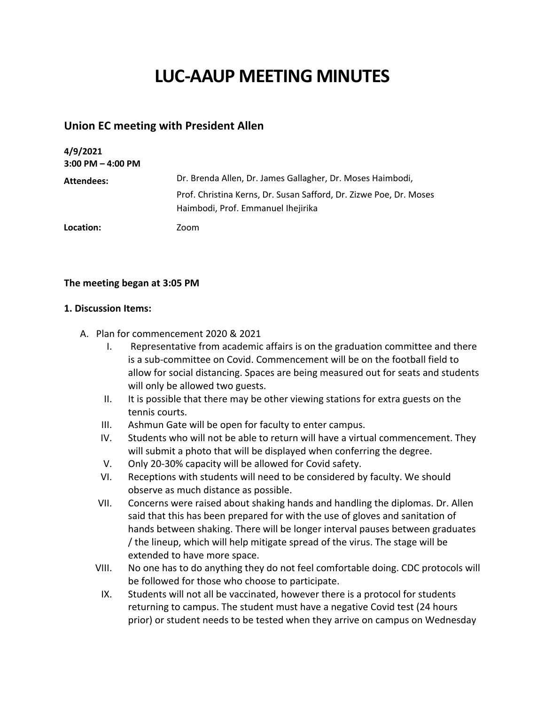## **LUC-AAUP MEETING MINUTES**

## **Union EC meeting with President Allen**

| 4/9/2021<br>$3:00$ PM $-$ 4:00 PM |                                                                                                          |
|-----------------------------------|----------------------------------------------------------------------------------------------------------|
| Attendees:                        | Dr. Brenda Allen, Dr. James Gallagher, Dr. Moses Haimbodi,                                               |
|                                   | Prof. Christina Kerns, Dr. Susan Safford, Dr. Zizwe Poe, Dr. Moses<br>Haimbodi, Prof. Emmanuel Ihejirika |
| Location:                         | Zoom                                                                                                     |

## **The meeting began at 3:05 PM**

## **1. Discussion Items:**

- A. Plan for commencement 2020 & 2021
	- I. Representative from academic affairs is on the graduation committee and there is a sub-committee on Covid. Commencement will be on the football field to allow for social distancing. Spaces are being measured out for seats and students will only be allowed two guests.
	- II. It is possible that there may be other viewing stations for extra guests on the tennis courts.
	- III. Ashmun Gate will be open for faculty to enter campus.
	- IV. Students who will not be able to return will have a virtual commencement. They will submit a photo that will be displayed when conferring the degree.
	- V. Only 20-30% capacity will be allowed for Covid safety.
	- VI. Receptions with students will need to be considered by faculty. We should observe as much distance as possible.
	- VII. Concerns were raised about shaking hands and handling the diplomas. Dr. Allen said that this has been prepared for with the use of gloves and sanitation of hands between shaking. There will be longer interval pauses between graduates / the lineup, which will help mitigate spread of the virus. The stage will be extended to have more space.
	- VIII. No one has to do anything they do not feel comfortable doing. CDC protocols will be followed for those who choose to participate.
		- IX. Students will not all be vaccinated, however there is a protocol for students returning to campus. The student must have a negative Covid test (24 hours prior) or student needs to be tested when they arrive on campus on Wednesday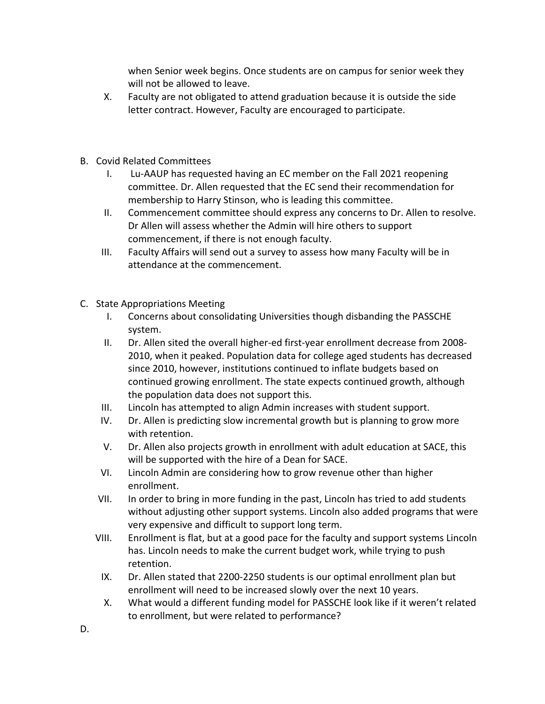when Senior week begins. Once students are on campus for senior week they will not be allowed to leave.

- X. Faculty are not obligated to attend graduation because it is outside the side letter contract. However, Faculty are encouraged to participate.
- B. Covid Related Committees
	- I. Lu-AAUP has requested having an EC member on the Fall 2021 reopening committee. Dr. Allen requested that the EC send their recommendation for membership to Harry Stinson, who is leading this committee.
	- II. Commencement committee should express any concerns to Dr. Allen to resolve. Dr Allen will assess whether the Admin will hire others to support commencement, if there is not enough faculty.
	- III. Faculty Affairs will send out a survey to assess how many Faculty will be in attendance at the commencement.
- C. State Appropriations Meeting
	- I. Concerns about consolidating Universities though disbanding the PASSCHE system.
	- II. Dr. Allen sited the overall higher-ed first-year enrollment decrease from 2008- 2010, when it peaked. Population data for college aged students has decreased since 2010, however, institutions continued to inflate budgets based on continued growing enrollment. The state expects continued growth, although the population data does not support this.
	- III. Lincoln has attempted to align Admin increases with student support.
	- IV. Dr. Allen is predicting slow incremental growth but is planning to grow more with retention.
	- V. Dr. Allen also projects growth in enrollment with adult education at SACE, this will be supported with the hire of a Dean for SACE.
	- VI. Lincoln Admin are considering how to grow revenue other than higher enrollment.
	- VII. In order to bring in more funding in the past, Lincoln has tried to add students without adjusting other support systems. Lincoln also added programs that were very expensive and difficult to support long term.
	- VIII. Enrollment is flat, but at a good pace for the faculty and support systems Lincoln has. Lincoln needs to make the current budget work, while trying to push retention.
		- IX. Dr. Allen stated that 2200-2250 students is our optimal enrollment plan but enrollment will need to be increased slowly over the next 10 years.
		- X. What would a different funding model for PASSCHE look like if it weren't related to enrollment, but were related to performance?